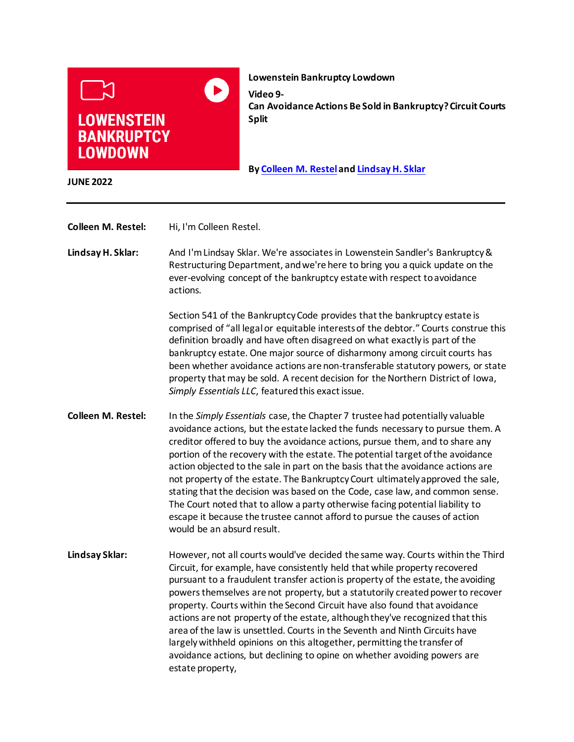

**Lowenstein Bankruptcy Lowdown Video 9- Can Avoidance Actions Be Sold in Bankruptcy? Circuit Courts Split**

**B[y Colleen M. Restel](https://www.lowenstein.com/people/attorneys/colleen-restel) an[d Lindsay H. Sklar](https://www.lowenstein.com/people/attorneys/lindsay-sklar)**

**JUNE 2022**

**Colleen M. Restel:** Hi, I'm Colleen Restel.

**Lindsay H. Sklar:** And I'm Lindsay Sklar. We're associates in Lowenstein Sandler's Bankruptcy & Restructuring Department, and we're here to bring you a quick update on the ever-evolving concept of the bankruptcy estate with respect to avoidance actions.

> Section 541 of the Bankruptcy Code provides that the bankruptcy estate is comprised of "all legal or equitable interests of the debtor." Courts construe this definition broadly and have often disagreed on what exactly is part of the bankruptcy estate. One major source of disharmony among circuit courts has been whether avoidance actions are non-transferable statutory powers, or state property that may be sold. A recent decision for the Northern District of Iowa, *Simply Essentials LLC*, featured this exact issue.

**Colleen M. Restel:** In the *Simply Essentials* case, the Chapter 7 trustee had potentially valuable avoidance actions, but the estate lacked the funds necessary to pursue them. A creditor offered to buy the avoidance actions, pursue them, and to share any portion of the recovery with the estate. The potential target of the avoidance action objected to the sale in part on the basis that the avoidance actions are not property of the estate. The Bankruptcy Court ultimately approved the sale, stating that the decision was based on the Code, case law, and common sense. The Court noted that to allow a party otherwise facing potential liability to escape it because the trustee cannot afford to pursue the causes of action would be an absurd result.

**Lindsay Sklar:** However, not all courts would've decided the same way. Courts within the Third Circuit, for example, have consistently held that while property recovered pursuant to a fraudulent transfer action is property of the estate, the avoiding powers themselves are not property, but a statutorily created power to recover property. Courts within the Second Circuit have also found that avoidance actions are not property of the estate, although they've recognized that this area of the law is unsettled. Courts in the Seventh and Ninth Circuits have largely withheld opinions on this altogether, permitting the transfer of avoidance actions, but declining to opine on whether avoiding powers are estate property,